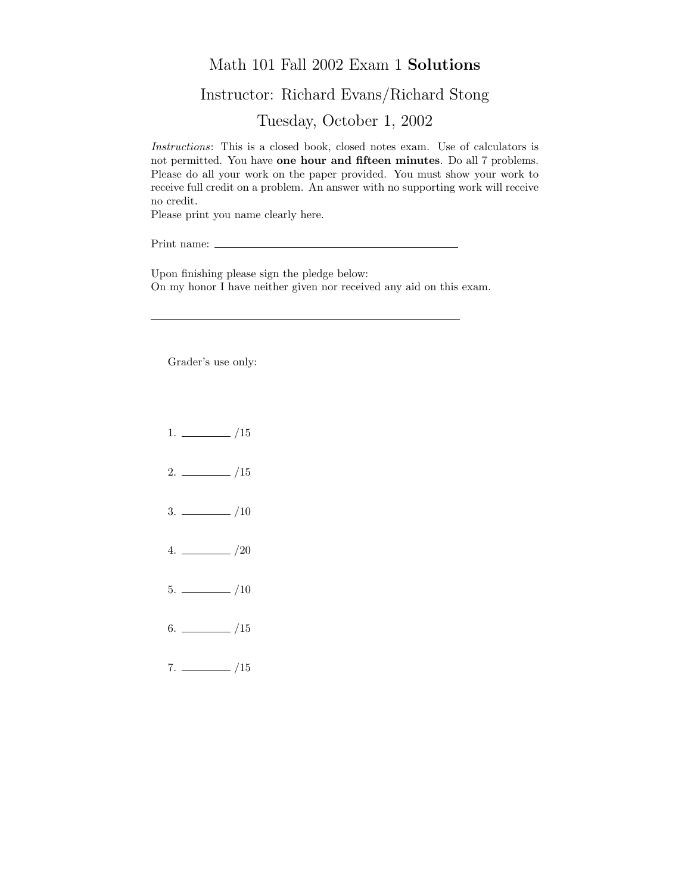## Math 101 Fall 2002 Exam 1 Solutions

## Instructor: Richard Evans/Richard Stong

Tuesday, October 1, 2002

Instructions: This is a closed book, closed notes exam. Use of calculators is not permitted. You have one hour and fifteen minutes. Do all 7 problems. Please do all your work on the paper provided. You must show your work to receive full credit on a problem. An answer with no supporting work will receive no credit.

Please print you name clearly here.

Print name:  $\_\_$ 

Upon finishing please sign the pledge below: On my honor I have neither given nor received any aid on this exam.

Grader's use only:

- $1. \ \_ \ \_ \ /15$
- $2. \ \frac{\ }{\ }$  /15
- $3. \ \_$ /10
- $4. \ \_/20$
- $5. \ \_ \ \_ \ \_/10$
- $6.$  /15
- $7. \ \_ \ \_ \ /15$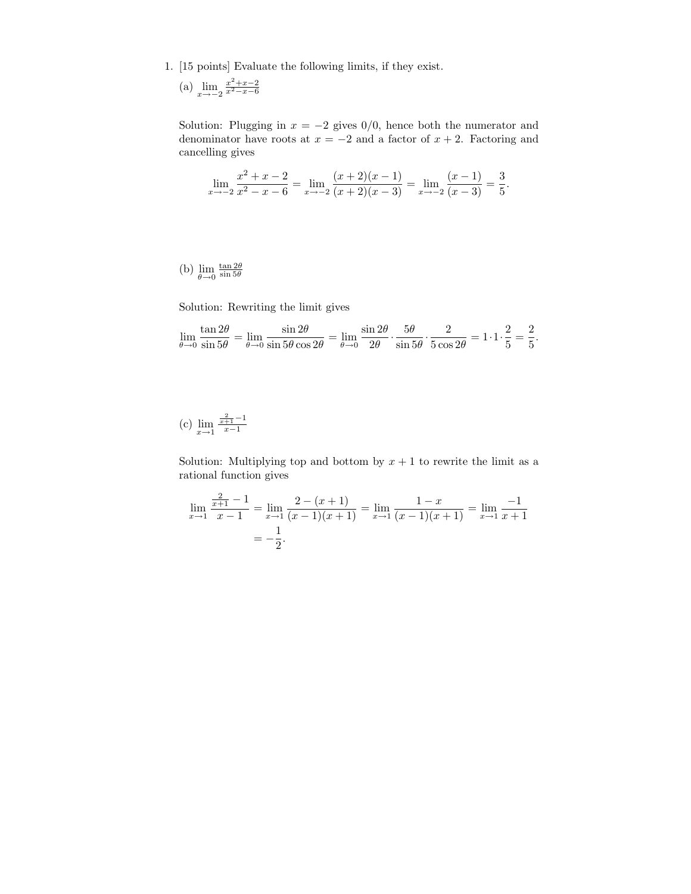- 1. [15 points] Evaluate the following limits, if they exist.
	- (a)  $\lim_{x \to -2} \frac{x^2 + x 2}{x^2 x 6}$

Solution: Plugging in  $x = -2$  gives 0/0, hence both the numerator and denominator have roots at  $x = -2$  and a factor of  $x + 2$ . Factoring and cancelling gives

$$
\lim_{x \to -2} \frac{x^2 + x - 2}{x^2 - x - 6} = \lim_{x \to -2} \frac{(x+2)(x-1)}{(x+2)(x-3)} = \lim_{x \to -2} \frac{(x-1)}{(x-3)} = \frac{3}{5}.
$$

(b)  $\lim_{\theta \to 0}$  $rac{\tan 2\theta}{\sin 5\theta}$ 

Solution: Rewriting the limit gives

$$
\lim_{\theta \to 0} \frac{\tan 2\theta}{\sin 5\theta} = \lim_{\theta \to 0} \frac{\sin 2\theta}{\sin 5\theta \cos 2\theta} = \lim_{\theta \to 0} \frac{\sin 2\theta}{2\theta} \cdot \frac{5\theta}{\sin 5\theta} \cdot \frac{2}{5\cos 2\theta} = 1 \cdot 1 \cdot \frac{2}{5} = \frac{2}{5}.
$$

(c) 
$$
\lim_{x \to 1} \frac{\frac{2}{x+1} - 1}{x-1}
$$

Solution: Multiplying top and bottom by  $x + 1$  to rewrite the limit as a rational function gives

$$
\lim_{x \to 1} \frac{\frac{2}{x+1} - 1}{x-1} = \lim_{x \to 1} \frac{2 - (x+1)}{(x-1)(x+1)} = \lim_{x \to 1} \frac{1-x}{(x-1)(x+1)} = \lim_{x \to 1} \frac{-1}{x+1}
$$

$$
= -\frac{1}{2}.
$$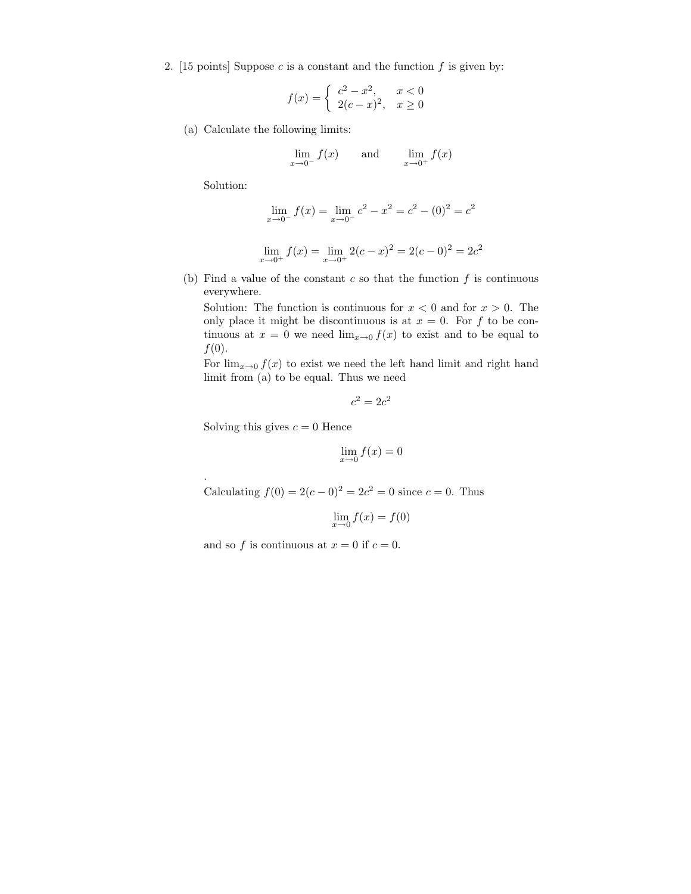2. [15 points] Suppose  $c$  is a constant and the function  $f$  is given by:

$$
f(x) = \begin{cases} c^2 - x^2, & x < 0\\ 2(c - x)^2, & x \ge 0 \end{cases}
$$

(a) Calculate the following limits:

$$
\lim_{x \to 0^{-}} f(x) \qquad \text{and} \qquad \lim_{x \to 0^{+}} f(x)
$$

Solution:

.

$$
\lim_{x \to 0^-} f(x) = \lim_{x \to 0^-} c^2 - x^2 = c^2 - (0)^2 = c^2
$$

$$
\lim_{x \to 0^+} f(x) = \lim_{x \to 0^+} 2(c - x)^2 = 2(c - 0)^2 = 2c^2
$$

(b) Find a value of the constant  $c$  so that the function  $f$  is continuous everywhere.

Solution: The function is continuous for  $x < 0$  and for  $x > 0$ . The only place it might be discontinuous is at  $x = 0$ . For f to be continuous at  $x = 0$  we need  $\lim_{x\to 0} f(x)$  to exist and to be equal to  $f(0)$ .

For  $\lim_{x\to 0} f(x)$  to exist we need the left hand limit and right hand limit from (a) to be equal. Thus we need

$$
c^2 = 2c^2
$$

Solving this gives  $c = 0$  Hence

$$
\lim_{x \to 0} f(x) = 0
$$

Calculating  $f(0) = 2(c-0)^2 = 2c^2 = 0$  since  $c = 0$ . Thus

$$
\lim_{x \to 0} f(x) = f(0)
$$

and so f is continuous at  $x = 0$  if  $c = 0$ .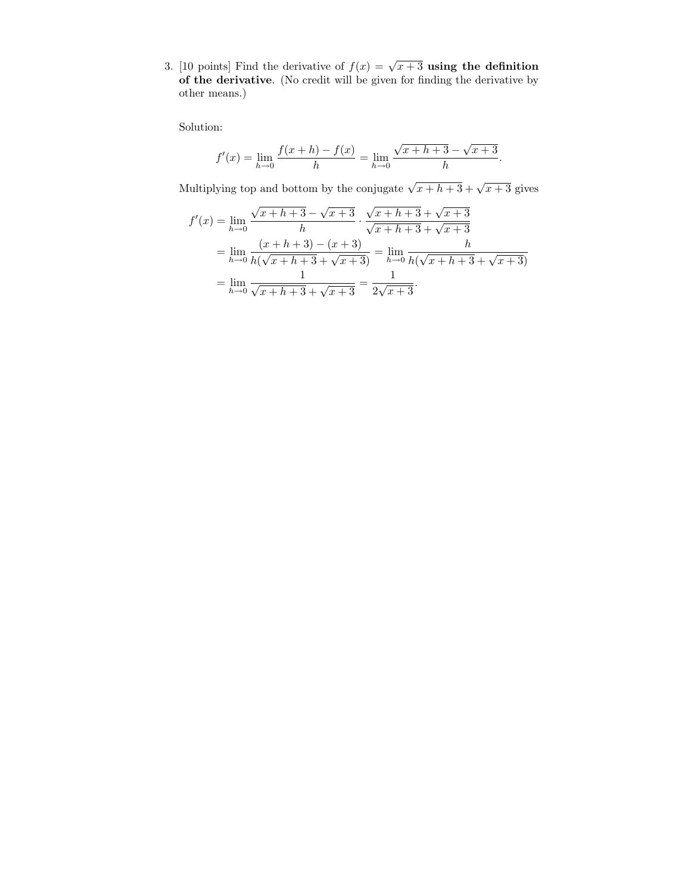3. [10 points] Find the derivative of  $f(x) = \sqrt{x+3}$  using the definition of the derivative. (No credit will be given for finding the derivative by other means.)

Solution:

$$
f'(x) = \lim_{h \to 0} \frac{f(x+h) - f(x)}{h} = \lim_{h \to 0} \frac{\sqrt{x+h+3} - \sqrt{x+3}}{h}.
$$

Multiplying top and bottom by the conjugate  $\sqrt{x+h+3} + \sqrt{x+3}$  gives

$$
f'(x) = \lim_{h \to 0} \frac{\sqrt{x+h+3} - \sqrt{x+3}}{h} \cdot \frac{\sqrt{x+h+3} + \sqrt{x+3}}{\sqrt{x+h+3} + \sqrt{x+3}}
$$
  
= 
$$
\lim_{h \to 0} \frac{(x+h+3) - (x+3)}{h(\sqrt{x+h+3} + \sqrt{x+3})} = \lim_{h \to 0} \frac{h}{h(\sqrt{x+h+3} + \sqrt{x+3})}
$$
  
= 
$$
\lim_{h \to 0} \frac{1}{\sqrt{x+h+3} + \sqrt{x+3}} = \frac{1}{2\sqrt{x+3}}.
$$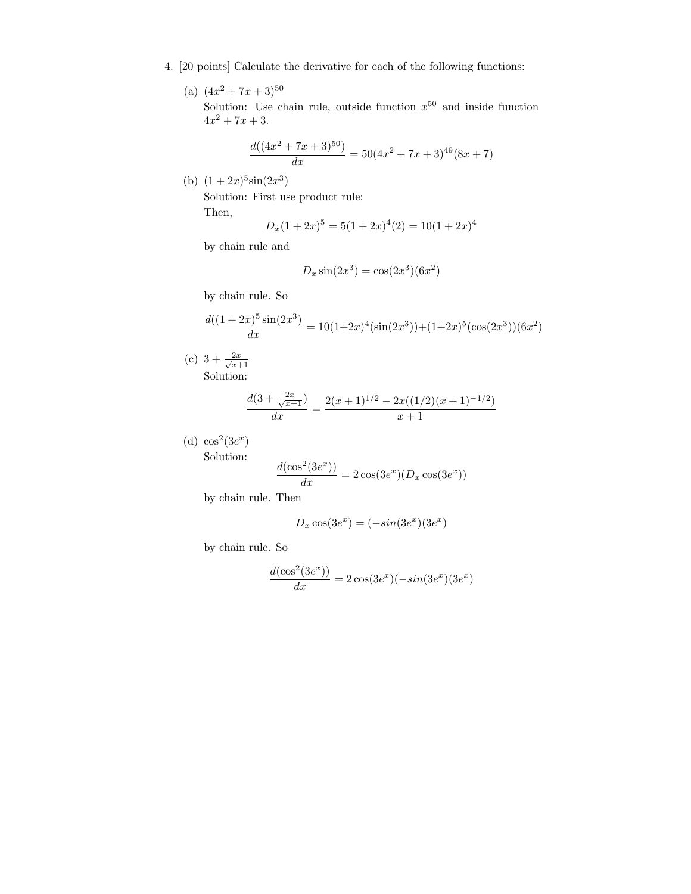- 4. [20 points] Calculate the derivative for each of the following functions:
	- (a)  $(4x^2+7x+3)^{50}$ Solution: Use chain rule, outside function  $x^{50}$  and inside function  $4x^2 + 7x + 3$ .

$$
\frac{d((4x^2+7x+3)^{50})}{dx} = 50(4x^2+7x+3)^{49}(8x+7)
$$

(b)  $(1+2x)^5\sin(2x^3)$ 

Solution: First use product rule: Then,

$$
D_x(1+2x)^5 = 5(1+2x)^4(2) = 10(1+2x)^4
$$

by chain rule and

$$
D_x \sin(2x^3) = \cos(2x^3)(6x^2)
$$

by chain rule. So

$$
\frac{d((1+2x)^5\sin(2x^3)}{dx} = 10(1+2x)^4(\sin(2x^3)) + (1+2x)^5(\cos(2x^3))(6x^2)
$$

(c)  $3 + \frac{2x}{\sqrt{x}}$  $x+1$ Solution:

$$
\frac{d(3+\frac{2x}{\sqrt{x+1}})}{dx} = \frac{2(x+1)^{1/2} - 2x((1/2)(x+1)^{-1/2})}{x+1}
$$

(d)  $\cos^2(3e^x)$ Solution:

$$
\frac{d(\cos^2(3e^x))}{dx}=2\cos(3e^x)(D_x\cos(3e^x))
$$

by chain rule. Then

$$
D_x \cos(3e^x) = (-\sin(3e^x)(3e^x))
$$

by chain rule. So

$$
\frac{d(\cos^2(3e^x))}{dx} = 2\cos(3e^x)(-\sin(3e^x)(3e^x))
$$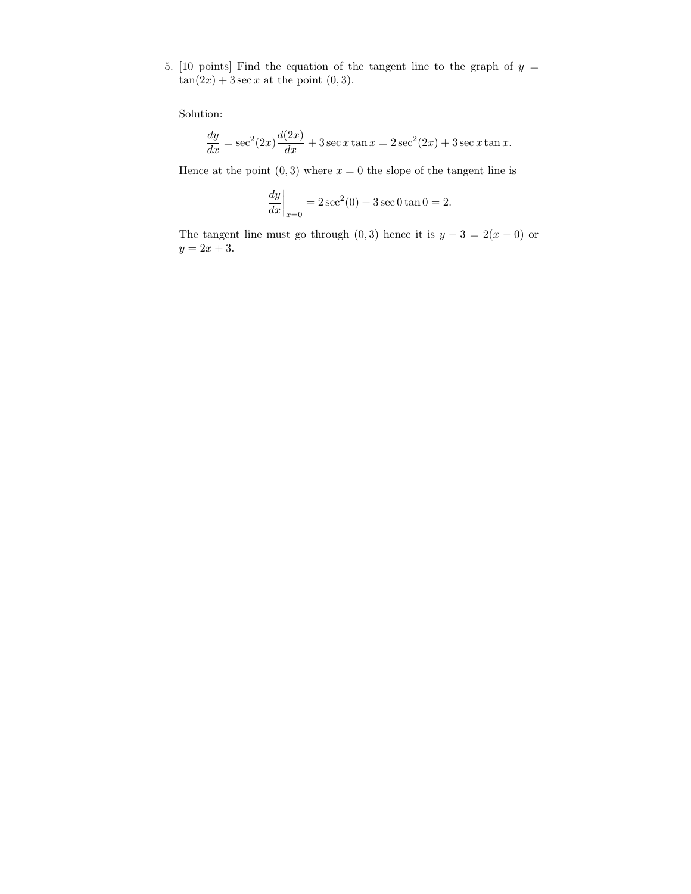5. [10 points] Find the equation of the tangent line to the graph of  $y =$  $tan(2x) + 3 sec x$  at the point  $(0, 3)$ .

Solution:

$$
\frac{dy}{dx} = \sec^2(2x) \frac{d(2x)}{dx} + 3 \sec x \tan x = 2 \sec^2(2x) + 3 \sec x \tan x.
$$

Hence at the point  $(0, 3)$  where  $x = 0$  the slope of the tangent line is

$$
\left. \frac{dy}{dx} \right|_{x=0} = 2\sec^2(0) + 3\sec 0 \tan 0 = 2.
$$

The tangent line must go through (0,3) hence it is  $y - 3 = 2(x - 0)$  or  $y = 2x + 3.$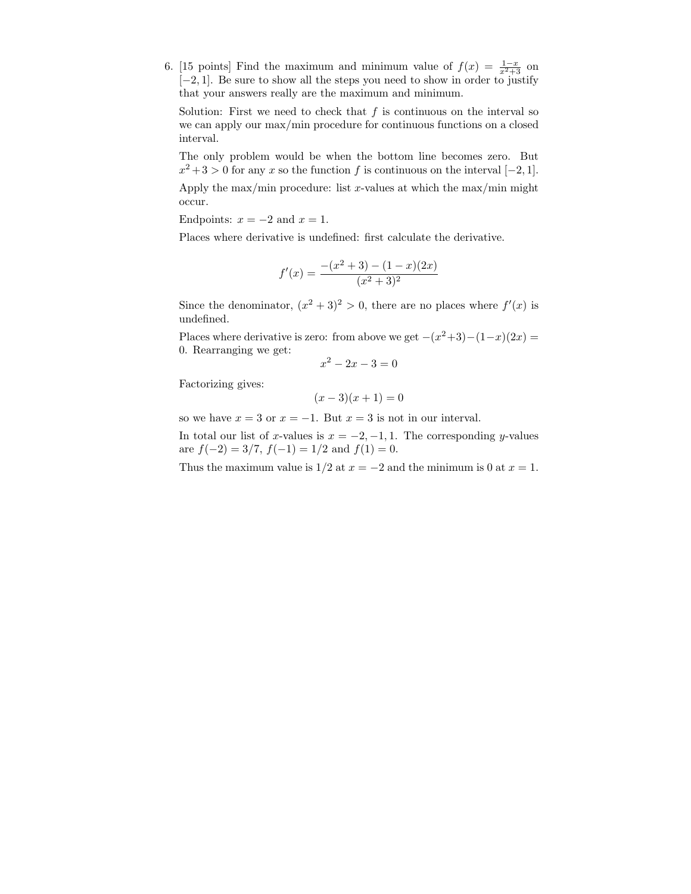6. [15 points] Find the maximum and minimum value of  $f(x) = \frac{1-x}{x^2+3}$  on [−2, 1]. Be sure to show all the steps you need to show in order to justify that your answers really are the maximum and minimum.

Solution: First we need to check that  $f$  is continuous on the interval so we can apply our max/min procedure for continuous functions on a closed interval.

The only problem would be when the bottom line becomes zero. But  $x^2 + 3 > 0$  for any x so the function f is continuous on the interval [-2, 1].

Apply the max/min procedure: list x-values at which the max/min might occur.

Endpoints:  $x = -2$  and  $x = 1$ .

Places where derivative is undefined: first calculate the derivative.

$$
f'(x) = \frac{-(x^2+3) - (1-x)(2x)}{(x^2+3)^2}
$$

Since the denominator,  $(x^2+3)^2 > 0$ , there are no places where  $f'(x)$  is undefined.

Places where derivative is zero: from above we get  $-(x^2+3)-(1-x)(2x) =$ 0. Rearranging we get:

$$
x^2 - 2x - 3 = 0
$$

Factorizing gives:

 $(x-3)(x+1) = 0$ 

so we have  $x = 3$  or  $x = -1$ . But  $x = 3$  is not in our interval.

In total our list of x-values is  $x = -2, -1, 1$ . The corresponding y-values are  $f(-2) = 3/7$ ,  $f(-1) = 1/2$  and  $f(1) = 0$ .

Thus the maximum value is  $1/2$  at  $x = -2$  and the minimum is 0 at  $x = 1$ .